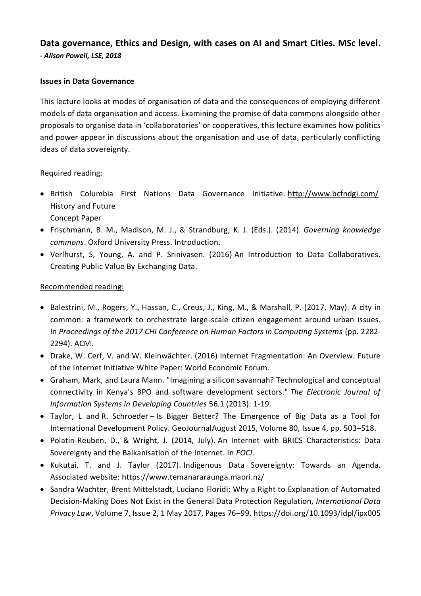# **Data governance, Ethics and Design, with cases on AI and Smart Cities. MSc level.** *- Alison Powell, LSE, 2018*

### **Issues in Data Governance**

This lecture looks at modes of organisation of data and the consequences of employing different models of data organisation and access. Examining the promise of data commons alongside other proposals to organise data in 'collaboratories' or cooperatives, this lecture examines how politics and power appear in discussions about the organisation and use of data, particularly conflicting ideas of data sovereignty.

#### Required reading:

- British Columbia First Nations Data Governance Initiative. <http://www.bcfndgi.com/> History and Future Concept Paper
- Frischmann, B. M., Madison, M. J., & Strandburg, K. J. (Eds.). (2014). *[Governing knowledge](http://www.oxfordscholarship.com.gate3.library.lse.ac.uk/view/10.1093/acprof:oso/9780199972036.001.0001/acprof-9780199972036)  [commons](http://www.oxfordscholarship.com.gate3.library.lse.ac.uk/view/10.1093/acprof:oso/9780199972036.001.0001/acprof-9780199972036)*. Oxford University Press. Introduction.
- Verlhurst, S, Young, A. and P. Srinivasen. (2016) An Introduction to Data Collaboratives. Creating Public Value By Exchanging Data.

#### Recommended reading:

- Balestrini, M., Rogers, Y., Hassan, C., Creus, J., King, M., & Marshall, P. (2017, May). A city in common: a framework to orchestrate large-scale citizen engagement around urban issues. In *Proceedings of the 2017 CHI Conference on Human Factors in Computing Systems* (pp. 2282- 2294). ACM.
- Drake, W. Cerf, V. and W. Kleinwächter. (2016) Internet Fragmentation: An Overview. Future of the Internet Initiative White Paper: World Economic Forum.
- Graham, Mark, and Laura Mann. "Imagining a silicon savannah? Technological and conceptual connectivity in Kenya's BPO and software development sectors." *The Electronic Journal of Information Systems in Developing Countries* 56.1 (2013): 1-19.
- Taylor, L and R. Schroeder [Is Bigger Better? The Emergence of Big Data as a Tool for](http://bit.ly/1RZgSy4)  [International Development Policy. GeoJournalA](http://bit.ly/1RZgSy4)ugust 2015, Volume 80, [Issue](https://link.springer.com/journal/10708/80/4/page/1) 4, pp. 503–518.
- Polatin-Reuben, D., & Wright, J. (2014, July). An Internet with BRICS Characteristics: Data Sovereignty and the Balkanisation of the Internet. In *FOCI*.
- Kukutai, T. and J. Taylor (2017). Indigenous Data Sovereignty: Towards an Agenda. Associated website: <https://www.temanararaunga.maori.nz/>
- Sandra Wachter, Brent Mittelstadt, Luciano Floridi; Why a Right to Explanation of Automated Decision-Making Does Not Exist in the General Data Protection Regulation, *International Data Privacy Law*, Volume 7, Issue 2, 1 May 2017, Pages 76–99, <https://doi.org/10.1093/idpl/ipx005>

5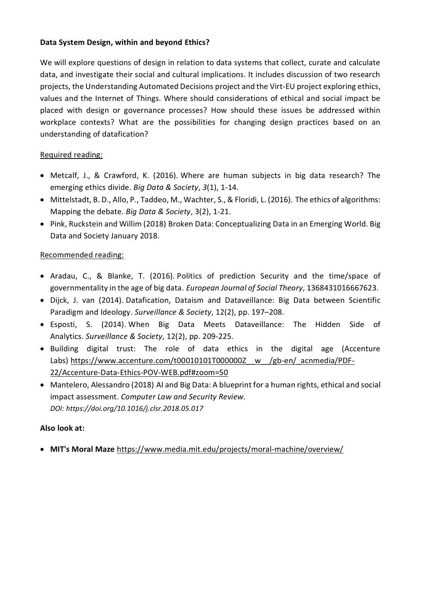## **Data System Design, within and beyond Ethics?**

We will explore questions of design in relation to data systems that collect, curate and calculate data, and investigate their social and cultural implications. It includes discussion of two research projects, the Understanding Automated Decisions project and the Virt-EU project exploring ethics, values and the Internet of Things. Where should considerations of ethical and social impact be placed with design or governance processes? How should these issues be addressed within workplace contexts? What are the possibilities for changing design practices based on an understanding of datafication?

# Required reading:

- Metcalf, J., & Crawford, K. (2016). Where are human subjects in big data research? The emerging ethics divide. *Big Data & Society*, *3*(1), 1-14.
- Mittelstadt, B. D., Allo, P., Taddeo, M., Wachter, S., & Floridi, L. (2016). The ethics of algorithms: Mapping the debate. *Big Data & Society*, 3(2), 1-21.
- Pink, Ruckstein and Willim (2018) Broken Data: Conceptualizing Data in an Emerging World. Big Data and Society January 2018.

# Recommended reading:

- Aradau, C., & Blanke, T. (2016). Politics of prediction Security and the time/space of governmentality in the age of big data. *European Journal of Social Theory*, 1368431016667623.
- Dijck, J. van (2014). Datafication, Dataism and Dataveillance: Big Data between Scientific Paradigm and Ideology. *Surveillance & Society*, 12(2), pp. 197–208.
- Esposti, S. (2014). When Big Data Meets Dataveillance: The Hidden Side of Analytics. *Surveillance & Society*, 12(2), pp. 209-225.
- Building digital trust: The role of data ethics in the digital age (Accenture Labs) [https://www.accenture.com/t00010101T000000Z\\_\\_w\\_\\_/gb-en/\\_acnmedia/PDF-](https://www.accenture.com/t00010101T000000Z__w__/gb-en/_acnmedia/PDF-22/Accenture-Data-Ethics-POV-WEB.pdf#zoom=50)[22/Accenture-Data-Ethics-POV-WEB.pdf#zoom=50](https://www.accenture.com/t00010101T000000Z__w__/gb-en/_acnmedia/PDF-22/Accenture-Data-Ethics-POV-WEB.pdf#zoom=50)
- Mantelero, Alessandro (2018) [AI and Big Data: A blueprint for a human rights, ethical and social](https://www.sciencedirect.com/science/article/pii/S0267364918302012)  [impact assessment.](https://www.sciencedirect.com/science/article/pii/S0267364918302012) *Computer Law and Security Review. DOI: https://doi.org/10.1016/j.clsr.2018.05.017*

# **Also look at:**

• **MIT's Moral Maze** <https://www.media.mit.edu/projects/moral-machine/overview/>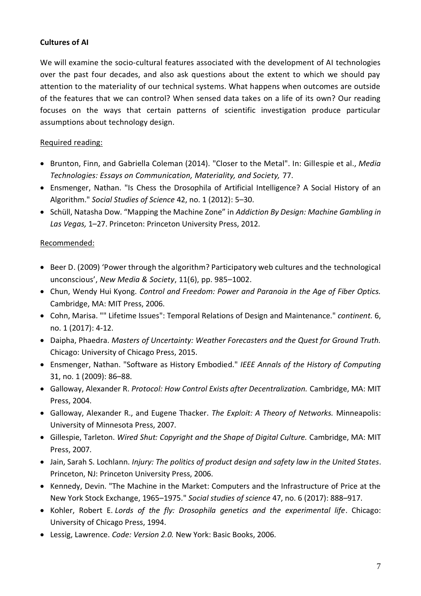# **Cultures of AI**

We will examine the socio-cultural features associated with the development of AI technologies over the past four decades, and also ask questions about the extent to which we should pay attention to the materiality of our technical systems. What happens when outcomes are outside of the features that we can control? When sensed data takes on a life of its own? Our reading focuses on the ways that certain patterns of scientific investigation produce particular assumptions about technology design.

# Required reading:

- Brunton, Finn, and Gabriella Coleman (2014). "Closer to the Metal". In: Gillespie et al., *Media Technologies: Essays on Communication, Materiality, and Society,* 77.
- Ensmenger, Nathan. "Is Chess the Drosophila of Artificial Intelligence? A Social History of an Algorithm." *Social Studies of Science* 42, no. 1 (2012): 5–30.
- Schüll, Natasha Dow. "Mapping the Machine Zone" in *Addiction By Design: Machine Gambling in Las Vegas,* 1–27. Princeton: Princeton University Press, 2012.

# Recommended:

- Beer D. (2009) 'Power through the algorithm? Participatory web cultures and the technological unconscious', *New Media & Society*, 11(6), pp. 985–1002.
- Chun, Wendy Hui Kyong. *Control and Freedom: Power and Paranoia in the Age of Fiber Optics.* Cambridge, MA: MIT Press, 2006.
- Cohn, Marisa. "" Lifetime Issues": Temporal Relations of Design and Maintenance." *continent.* 6, no. 1 (2017): 4-12.
- Daipha, Phaedra. *Masters of Uncertainty: Weather Forecasters and the Quest for Ground Truth.* Chicago: University of Chicago Press, 2015.
- Ensmenger, Nathan. "Software as History Embodied." *IEEE Annals of the History of Computing*  31, no. 1 (2009): 86–88.
- Galloway, Alexander R. *Protocol: How Control Exists after Decentralization.* Cambridge, MA: MIT Press, 2004.
- Galloway, Alexander R., and Eugene Thacker. *The Exploit: A Theory of Networks.* Minneapolis: University of Minnesota Press, 2007.
- Gillespie, Tarleton. *Wired Shut: Copyright and the Shape of Digital Culture.* Cambridge, MA: MIT Press, 2007.
- Jain, Sarah S. Lochlann. *Injury: The politics of product design and safety law in the United States*. Princeton, NJ: Princeton University Press, 2006.
- Kennedy, Devin. "The Machine in the Market: Computers and the Infrastructure of Price at the New York Stock Exchange, 1965–1975." *Social studies of science* 47, no. 6 (2017): 888–917.
- Kohler, Robert E. *Lords of the fly: Drosophila genetics and the experimental life*. Chicago: University of Chicago Press, 1994.
- Lessig, Lawrence. *Code: Version 2.0.* New York: Basic Books, 2006.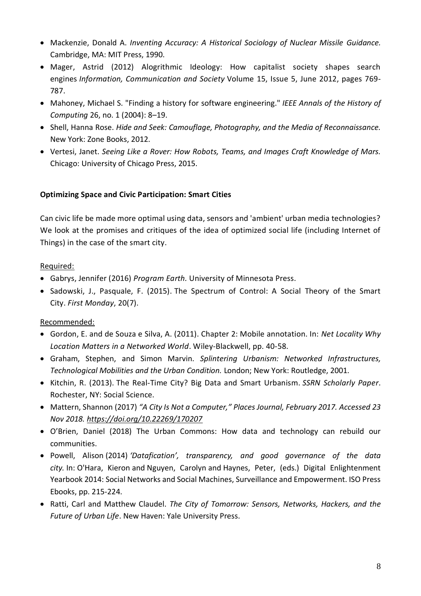- Mackenzie, Donald A. *Inventing Accuracy: A Historical Sociology of Nuclear Missile Guidance.* Cambridge, MA: MIT Press, 1990.
- Mager, Astrid (2012) Alogrithmic Ideology: How capitalist society shapes search engines *Information, Communication and Society* Volume 15, Issue 5, June 2012, pages 769- 787.
- Mahoney, Michael S. "Finding a history for software engineering." *IEEE Annals of the History of Computing* 26, no. 1 (2004): 8–19.
- Shell, Hanna Rose. *Hide and Seek: Camouflage, Photography, and the Media of Reconnaissance.* New York: Zone Books, 2012.
- Vertesi, Janet. *Seeing Like a Rover: How Robots, Teams, and Images Craft Knowledge of Mars.* Chicago: University of Chicago Press, 2015.

# **Optimizing Space and Civic Participation: Smart Cities**

Can civic life be made more optimal using data, sensors and 'ambient' urban media technologies? We look at the promises and critiques of the idea of optimized social life (including Internet of Things) in the case of the smart city.

# Required:

- Gabrys, Jennifer (2016) *Program Earth.* University of Minnesota Press.
- Sadowski, J., Pasquale, F. (2015). The Spectrum of Control: A Social Theory of the Smart City. *First Monday*, 20(7).

# Recommended:

- Gordon, E. and de Souza e Silva, A. (2011). Chapter 2: Mobile annotation. In: *Net Locality Why Location Matters in a Networked World*. Wiley-Blackwell, pp. 40-58.
- Graham, Stephen, and Simon Marvin. *Splintering Urbanism: Networked Infrastructures, Technological Mobilities and the Urban Condition.* London; New York: Routledge, 2001.
- Kitchin, R. (2013). The Real-Time City? Big Data and Smart Urbanism. *SSRN Scholarly Paper*. Rochester, NY: Social Science.
- Mattern, Shannon (2017) *"A City Is Not a Computer," Places Journal, February 2017. Accessed 23 Nov 2018.<https://doi.org/10.22269/170207>*
- O'Brien, Daniel (2018) The Urban Commons: How data and technology can rebuild our communities.
- Powell, Alison (2014) *'Datafication', transparency, and good governance of the data city.* In: O'Hara, Kieron and Nguyen, Carolyn and Haynes, Peter, (eds.) Digital Enlightenment Yearbook 2014: Social Networks and Social Machines, Surveillance and Empowerment. ISO Press Ebooks, pp. 215-224.
- Ratti, Carl and Matthew Claudel. *The City of Tomorrow: Sensors, Networks, Hackers, and the Future of Urban Life*. New Haven: Yale University Press.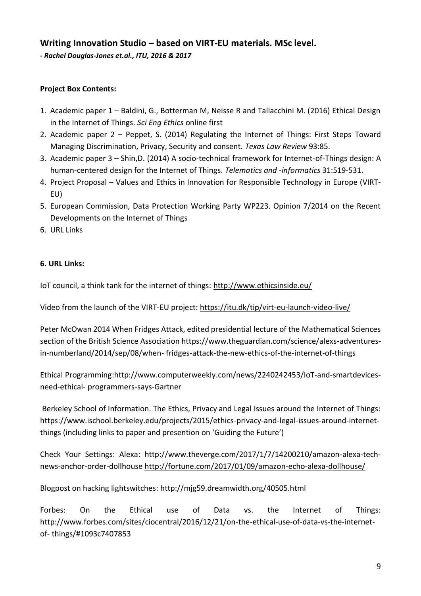# **Writing Innovation Studio – based on VIRT-EU materials. MSc level.**

*- Rachel Douglas-Jones et.al., ITU, 2016 & 2017*

# **Project Box Contents:**

- 1. Academic paper 1 Baldini, G., Botterman M, Neisse R and Tallacchini M. (2016) Ethical Design in the Internet of Things. *Sci Eng Ethics* online first
- 2. Academic paper 2 Peppet, S. (2014) Regulating the Internet of Things: First Steps Toward Managing Discrimination, Privacy, Security and consent. *Texas Law Review* 93:85.
- 3. Academic paper 3 Shin,D. (2014) A socio-technical framework for Internet-of-Things design: A human-centered design for the Internet of Things. *Telematics and -informatics* 31:519-531.
- 4. Project Proposal Values and Ethics in Innovation for Responsible Technology in Europe (VIRT-EU)
- 5. European Commission, Data Protection Working Party WP223. Opinion 7/2014 on the Recent Developments on the Internet of Things
- 6. URL Links

### **6. URL Links:**

IoT council, a think tank for the internet of things:<http://www.ethicsinside.eu/>

Video from the launch of the VIRT-EU project: https://itu.dk/tip/virt-eu-launch-video-live/

Peter McOwan 2014 When Fridges Attack, edited presidential lecture of the Mathematical Sciences section of the British Science Association https://www.theguardian.com/science/alexs-adventuresin-numberland/2014/sep/08/when- fridges-attack-the-new-ethics-of-the-internet-of-things

Ethical Programming:http://www.computerweekly.com/news/2240242453/IoT-and-smartdevicesneed-ethical- programmers-says-Gartner

Berkeley School of Information. The Ethics, Privacy and Legal Issues around the Internet of Things: https://www.ischool.berkeley.edu/projects/2015/ethics-privacy-and-legal-issues-around-internetthings (including links to paper and presention on 'Guiding the Future')

Check Your Settings: Alexa: http://www.theverge.com/2017/1/7/14200210/amazon-alexa-technews-anchor-order-dollhouse<http://fortune.com/2017/01/09/amazon-echo-alexa-dollhouse/>

Blogpost on hacking lightswitches:<http://mjg59.dreamwidth.org/40505.html>

Forbes: On the Ethical use of Data vs. the Internet of Things: http://www.forbes.com/sites/ciocentral/2016/12/21/on-the-ethical-use-of-data-vs-the-internetof- things/#1093c7407853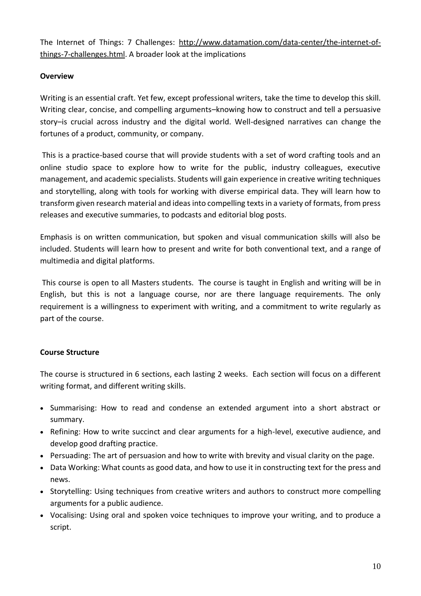The Internet of Things: 7 Challenges: [http://www.datamation.com/data-center/the-internet-of](http://www.datamation.com/data-center/the-internet-of-things-7-challenges.html)[things-7-challenges.html.](http://www.datamation.com/data-center/the-internet-of-things-7-challenges.html) A broader look at the implications

# **Overview**

Writing is an essential craft. Yet few, except professional writers, take the time to develop this skill. Writing clear, concise, and compelling arguments–knowing how to construct and tell a persuasive story–is crucial across industry and the digital world. Well-designed narratives can change the fortunes of a product, community, or company.

This is a practice-based course that will provide students with a set of word crafting tools and an online studio space to explore how to write for the public, industry colleagues, executive management, and academic specialists. Students will gain experience in creative writing techniques and storytelling, along with tools for working with diverse empirical data. They will learn how to transform given research material and ideas into compelling texts in a variety of formats, from press releases and executive summaries, to podcasts and editorial blog posts.

Emphasis is on written communication, but spoken and visual communication skills will also be included. Students will learn how to present and write for both conventional text, and a range of multimedia and digital platforms.

This course is open to all Masters students. The course is taught in English and writing will be in English, but this is not a language course, nor are there language requirements. The only requirement is a willingness to experiment with writing, and a commitment to write regularly as part of the course.

# **Course Structure**

The course is structured in 6 sections, each lasting 2 weeks. Each section will focus on a different writing format, and different writing skills.

- Summarising: How to read and condense an extended argument into a short abstract or summary.
- Refining: How to write succinct and clear arguments for a high-level, executive audience, and develop good drafting practice.
- Persuading: The art of persuasion and how to write with brevity and visual clarity on the page.
- Data Working: What counts as good data, and how to use it in constructing text for the press and news.
- Storytelling: Using techniques from creative writers and authors to construct more compelling arguments for a public audience.
- Vocalising: Using oral and spoken voice techniques to improve your writing, and to produce a script.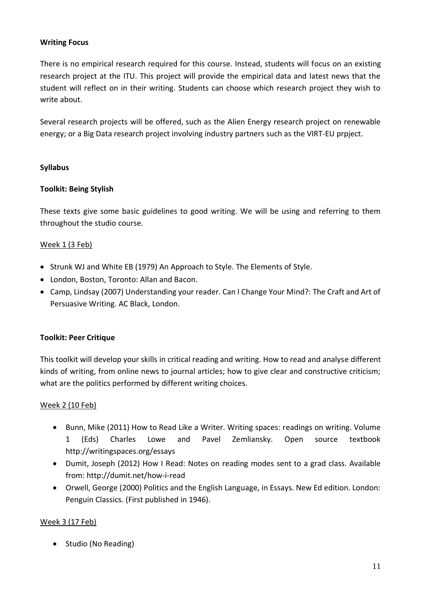### **Writing Focus**

There is no empirical research required for this course. Instead, students will focus on an existing research project at the ITU. This project will provide the empirical data and latest news that the student will reflect on in their writing. Students can choose which research project they wish to write about.

Several research projects will be offered, such as the Alien Energy research project on renewable energy; or a Big Data research project involving industry partners such as the VIRT-EU prpject.

#### **Syllabus**

#### **Toolkit: Being Stylish**

These texts give some basic guidelines to good writing. We will be using and referring to them throughout the studio course.

#### Week 1 (3 Feb)

- Strunk WJ and White EB (1979) An Approach to Style. The Elements of Style.
- London, Boston, Toronto: Allan and Bacon.
- Camp, Lindsay (2007) Understanding your reader. Can I Change Your Mind?: The Craft and Art of Persuasive Writing. AC Black, London.

#### **Toolkit: Peer Critique**

This toolkit will develop your skills in critical reading and writing. How to read and analyse different kinds of writing, from online news to journal articles; how to give clear and constructive criticism; what are the politics performed by different writing choices.

#### Week 2 (10 Feb)

- Bunn, Mike (2011) How to Read Like a Writer. Writing spaces: readings on writing. Volume 1 (Eds) Charles Lowe and Pavel Zemliansky. Open source textbook http://writingspaces.org/essays
- Dumit, Joseph (2012) How I Read: Notes on reading modes sent to a grad class. Available from: http://dumit.net/how-i-read
- Orwell, George (2000) Politics and the English Language, in Essays. New Ed edition. London: Penguin Classics. (First published in 1946).

#### Week 3 (17 Feb)

• Studio (No Reading)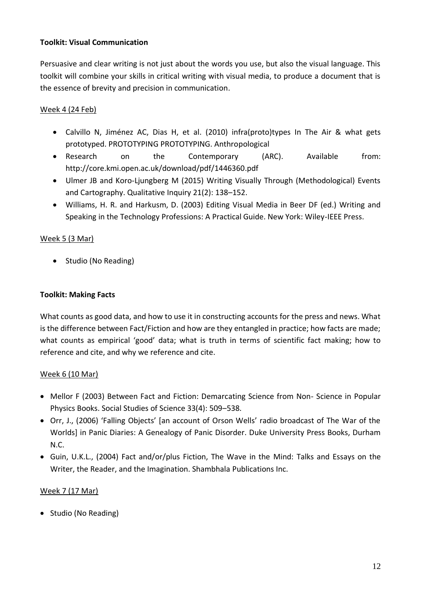### **Toolkit: Visual Communication**

Persuasive and clear writing is not just about the words you use, but also the visual language. This toolkit will combine your skills in critical writing with visual media, to produce a document that is the essence of brevity and precision in communication.

# Week 4 (24 Feb)

- Calvillo N, Jiménez AC, Dias H, et al. (2010) infra(proto)types In The Air & what gets prototyped. PROTOTYPING PROTOTYPING. Anthropological
- Research on the Contemporary (ARC). Available from: http://core.kmi.open.ac.uk/download/pdf/1446360.pdf
- Ulmer JB and Koro-Ljungberg M (2015) Writing Visually Through (Methodological) Events and Cartography. Qualitative Inquiry 21(2): 138–152.
- Williams, H. R. and Harkusm, D. (2003) Editing Visual Media in Beer DF (ed.) Writing and Speaking in the Technology Professions: A Practical Guide. New York: Wiley-IEEE Press.

# Week 5 (3 Mar)

• Studio (No Reading)

## **Toolkit: Making Facts**

What counts as good data, and how to use it in constructing accounts for the press and news. What is the difference between Fact/Fiction and how are they entangled in practice; how facts are made; what counts as empirical 'good' data; what is truth in terms of scientific fact making; how to reference and cite, and why we reference and cite.

### Week 6 (10 Mar)

- Mellor F (2003) Between Fact and Fiction: Demarcating Science from Non- Science in Popular Physics Books. Social Studies of Science 33(4): 509–538.
- Orr, J., (2006) 'Falling Objects' [an account of Orson Wells' radio broadcast of The War of the Worlds] in Panic Diaries: A Genealogy of Panic Disorder. Duke University Press Books, Durham N.C.
- Guin, U.K.L., (2004) Fact and/or/plus Fiction, The Wave in the Mind: Talks and Essays on the Writer, the Reader, and the Imagination. Shambhala Publications Inc.

# Week 7 (17 Mar)

• Studio (No Reading)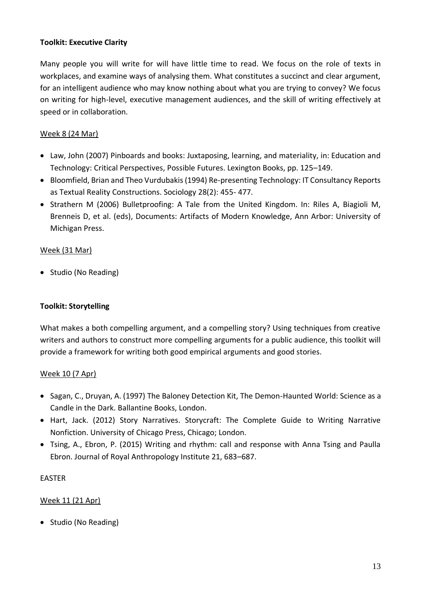### **Toolkit: Executive Clarity**

Many people you will write for will have little time to read. We focus on the role of texts in workplaces, and examine ways of analysing them. What constitutes a succinct and clear argument, for an intelligent audience who may know nothing about what you are trying to convey? We focus on writing for high-level, executive management audiences, and the skill of writing effectively at speed or in collaboration.

## Week 8 (24 Mar)

- Law, John (2007) Pinboards and books: Juxtaposing, learning, and materiality, in: Education and Technology: Critical Perspectives, Possible Futures. Lexington Books, pp. 125–149.
- Bloomfield, Brian and Theo Vurdubakis (1994) Re-presenting Technology: IT Consultancy Reports as Textual Reality Constructions. Sociology 28(2): 455- 477.
- Strathern M (2006) Bulletproofing: A Tale from the United Kingdom. In: Riles A, Biagioli M, Brenneis D, et al. (eds), Documents: Artifacts of Modern Knowledge, Ann Arbor: University of Michigan Press.

### Week (31 Mar)

• Studio (No Reading)

### **Toolkit: Storytelling**

What makes a both compelling argument, and a compelling story? Using techniques from creative writers and authors to construct more compelling arguments for a public audience, this toolkit will provide a framework for writing both good empirical arguments and good stories.

### Week 10 (7 Apr)

- Sagan, C., Druyan, A. (1997) The Baloney Detection Kit, The Demon-Haunted World: Science as a Candle in the Dark. Ballantine Books, London.
- Hart, Jack. (2012) Story Narratives. Storycraft: The Complete Guide to Writing Narrative Nonfiction. University of Chicago Press, Chicago; London.
- Tsing, A., Ebron, P. (2015) Writing and rhythm: call and response with Anna Tsing and Paulla Ebron. Journal of Royal Anthropology Institute 21, 683–687.

### EASTER

### Week 11 (21 Apr)

• Studio (No Reading)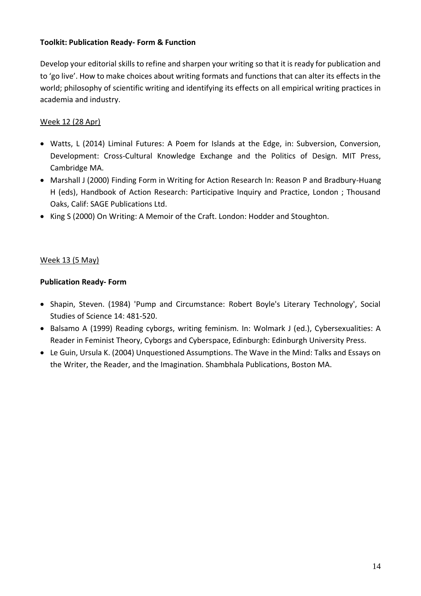### **Toolkit: Publication Ready- Form & Function**

Develop your editorial skills to refine and sharpen your writing so that it is ready for publication and to 'go live'. How to make choices about writing formats and functions that can alter its effects in the world; philosophy of scientific writing and identifying its effects on all empirical writing practices in academia and industry.

## Week 12 (28 Apr)

- Watts, L (2014) Liminal Futures: A Poem for Islands at the Edge, in: Subversion, Conversion, Development: Cross-Cultural Knowledge Exchange and the Politics of Design. MIT Press, Cambridge MA.
- Marshall J (2000) Finding Form in Writing for Action Research In: Reason P and Bradbury-Huang H (eds), Handbook of Action Research: Participative Inquiry and Practice, London ; Thousand Oaks, Calif: SAGE Publications Ltd.
- King S (2000) On Writing: A Memoir of the Craft. London: Hodder and Stoughton.

### Week 13 (5 May)

### **Publication Ready- Form**

- Shapin, Steven. (1984) 'Pump and Circumstance: Robert Boyle's Literary Technology', Social Studies of Science 14: 481-520.
- Balsamo A (1999) Reading cyborgs, writing feminism. In: Wolmark J (ed.), Cybersexualities: A Reader in Feminist Theory, Cyborgs and Cyberspace, Edinburgh: Edinburgh University Press.
- Le Guin, Ursula K. (2004) Unquestioned Assumptions. The Wave in the Mind: Talks and Essays on the Writer, the Reader, and the Imagination. Shambhala Publications, Boston MA.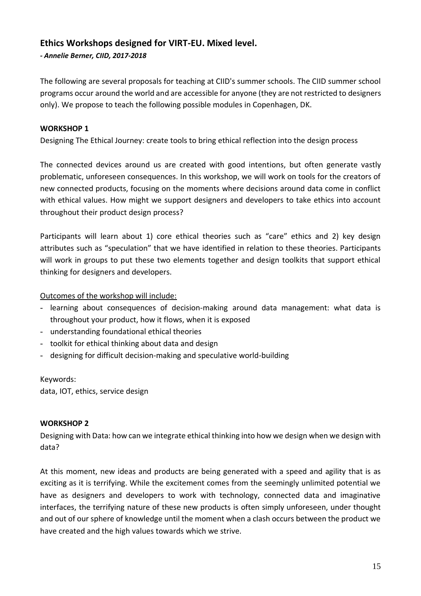# **Ethics Workshops designed for VIRT-EU. Mixed level.**

*- Annelie Berner, CIID, 2017-2018*

The following are several proposals for teaching at CIID's summer schools. The CIID summer school programs occur around the world and are accessible for anyone (they are not restricted to designers only). We propose to teach the following possible modules in Copenhagen, DK.

### **WORKSHOP 1**

Designing The Ethical Journey: create tools to bring ethical reflection into the design process

The connected devices around us are created with good intentions, but often generate vastly problematic, unforeseen consequences. In this workshop, we will work on tools for the creators of new connected products, focusing on the moments where decisions around data come in conflict with ethical values. How might we support designers and developers to take ethics into account throughout their product design process?

Participants will learn about 1) core ethical theories such as "care" ethics and 2) key design attributes such as "speculation" that we have identified in relation to these theories. Participants will work in groups to put these two elements together and design toolkits that support ethical thinking for designers and developers.

#### Outcomes of the workshop will include:

- learning about consequences of decision-making around data management: what data is throughout your product, how it flows, when it is exposed
- understanding foundational ethical theories
- toolkit for ethical thinking about data and design
- designing for difficult decision-making and speculative world-building

Keywords:

data, IOT, ethics, service design

#### **WORKSHOP 2**

Designing with Data: how can we integrate ethical thinking into how we design when we design with data?

At this moment, new ideas and products are being generated with a speed and agility that is as exciting as it is terrifying. While the excitement comes from the seemingly unlimited potential we have as designers and developers to work with technology, connected data and imaginative interfaces, the terrifying nature of these new products is often simply unforeseen, under thought and out of our sphere of knowledge until the moment when a clash occurs between the product we have created and the high values towards which we strive.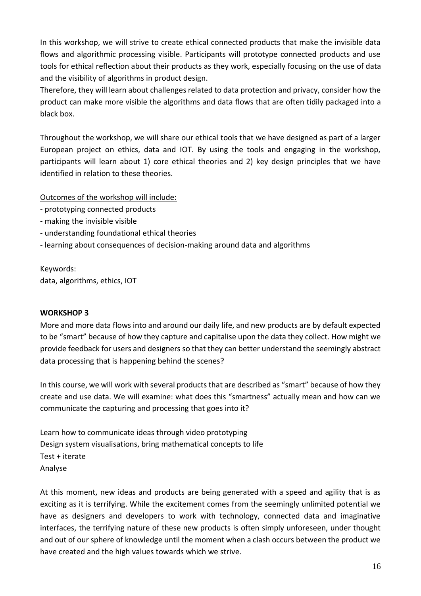In this workshop, we will strive to create ethical connected products that make the invisible data flows and algorithmic processing visible. Participants will prototype connected products and use tools for ethical reflection about their products as they work, especially focusing on the use of data and the visibility of algorithms in product design.

Therefore, they will learn about challenges related to data protection and privacy, consider how the product can make more visible the algorithms and data flows that are often tidily packaged into a black box.

Throughout the workshop, we will share our ethical tools that we have designed as part of a larger European project on ethics, data and IOT. By using the tools and engaging in the workshop, participants will learn about 1) core ethical theories and 2) key design principles that we have identified in relation to these theories.

Outcomes of the workshop will include:

- prototyping connected products
- making the invisible visible
- understanding foundational ethical theories
- learning about consequences of decision-making around data and algorithms

Keywords: data, algorithms, ethics, IOT

#### **WORKSHOP 3**

More and more data flows into and around our daily life, and new products are by default expected to be "smart" because of how they capture and capitalise upon the data they collect. How might we provide feedback for users and designers so that they can better understand the seemingly abstract data processing that is happening behind the scenes?

In this course, we will work with several products that are described as "smart" because of how they create and use data. We will examine: what does this "smartness" actually mean and how can we communicate the capturing and processing that goes into it?

Learn how to communicate ideas through video prototyping Design system visualisations, bring mathematical concepts to life Test + iterate Analyse

At this moment, new ideas and products are being generated with a speed and agility that is as exciting as it is terrifying. While the excitement comes from the seemingly unlimited potential we have as designers and developers to work with technology, connected data and imaginative interfaces, the terrifying nature of these new products is often simply unforeseen, under thought and out of our sphere of knowledge until the moment when a clash occurs between the product we have created and the high values towards which we strive.